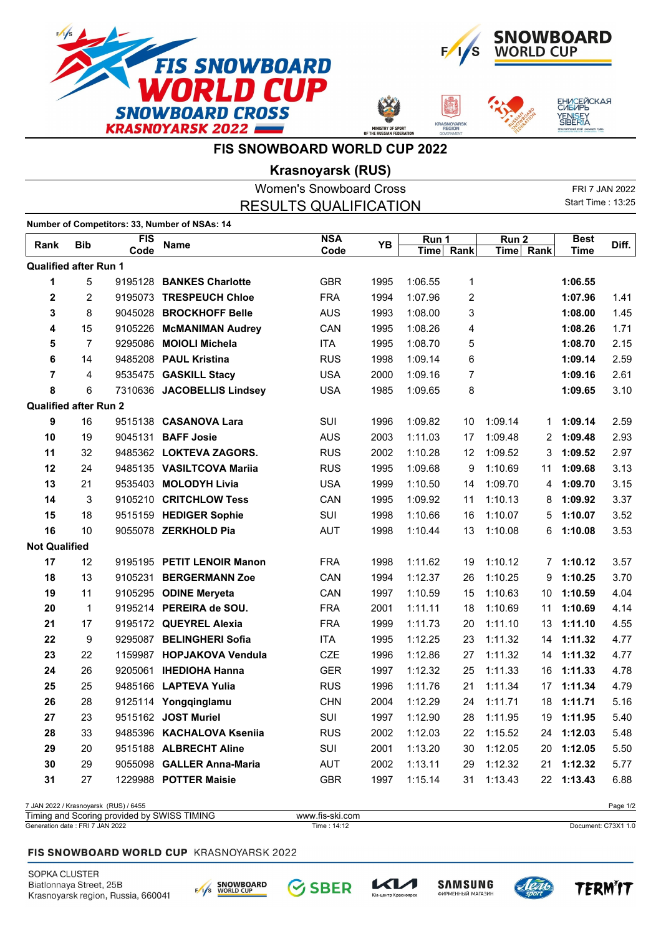







## **FIS SNOWBOARD WORLD CUP 2022**

**Krasnoyarsk (RUS)**

|                              |                |                                       |                                               | <b>Women's Snowboard Cross</b> |      |         |           |                  |           |                          | FRI 7 JAN 2022 |
|------------------------------|----------------|---------------------------------------|-----------------------------------------------|--------------------------------|------|---------|-----------|------------------|-----------|--------------------------|----------------|
| <b>RESULTS QUALIFICATION</b> |                |                                       |                                               |                                |      |         |           |                  |           | <b>Start Time: 13:25</b> |                |
|                              |                |                                       | Number of Competitors: 33, Number of NSAs: 14 |                                |      |         |           |                  |           |                          |                |
|                              |                | <b>FIS</b>                            |                                               | <b>NSA</b>                     |      | Run 1   |           | Run <sub>2</sub> |           | <b>Best</b>              |                |
| Rank                         | <b>Bib</b>     | Code                                  | <b>Name</b>                                   | Code                           | YB   |         | Time Rank |                  | Time Rank | <b>Time</b>              | Diff.          |
| <b>Qualified after Run 1</b> |                |                                       |                                               |                                |      |         |           |                  |           |                          |                |
| 1                            | 5              |                                       | 9195128 BANKES Charlotte                      | <b>GBR</b>                     | 1995 | 1:06.55 | 1         |                  |           | 1:06.55                  |                |
| $\overline{2}$               | $\overline{2}$ |                                       | 9195073 TRESPEUCH Chloe                       | <b>FRA</b>                     | 1994 | 1:07.96 | 2         |                  |           | 1:07.96                  | 1.41           |
| 3                            | 8              |                                       | 9045028 BROCKHOFF Belle                       | <b>AUS</b>                     | 1993 | 1:08.00 | 3         |                  |           | 1:08.00                  | 1.45           |
| 4                            | 15             |                                       | 9105226 McMANIMAN Audrey                      | CAN                            | 1995 | 1:08.26 | 4         |                  |           | 1:08.26                  | 1.71           |
| 5                            | $\overline{7}$ |                                       | 9295086 MOIOLI Michela                        | <b>ITA</b>                     | 1995 | 1:08.70 | 5         |                  |           | 1:08.70                  | 2.15           |
| 6                            | 14             |                                       | 9485208 PAUL Kristina                         | <b>RUS</b>                     | 1998 | 1:09.14 | 6         |                  |           | 1:09.14                  | 2.59           |
| 7                            | 4              |                                       | 9535475 GASKILL Stacy                         | <b>USA</b>                     | 2000 | 1:09.16 | 7         |                  |           | 1:09.16                  | 2.61           |
| 8                            | 6              |                                       | 7310636 JACOBELLIS Lindsey                    | <b>USA</b>                     | 1985 | 1:09.65 | 8         |                  |           | 1:09.65                  | 3.10           |
| <b>Qualified after Run 2</b> |                |                                       |                                               |                                |      |         |           |                  |           |                          |                |
| 9                            | 16             |                                       | 9515138 CASANOVA Lara                         | SUI                            | 1996 | 1:09.82 | 10        | 1:09.14          | 1         | 1:09.14                  | 2.59           |
| 10                           | 19             |                                       | 9045131 BAFF Josie                            | <b>AUS</b>                     | 2003 | 1:11.03 | 17        | 1:09.48          | 2         | 1:09.48                  | 2.93           |
| 11                           | 32             |                                       | 9485362 LOKTEVA ZAGORS.                       | <b>RUS</b>                     | 2002 | 1:10.28 | 12        | 1:09.52          | 3         | 1:09.52                  | 2.97           |
| 12                           | 24             |                                       | 9485135 VASILTCOVA Mariia                     | <b>RUS</b>                     | 1995 | 1:09.68 | 9         | 1:10.69          | 11        | 1:09.68                  | 3.13           |
| 13                           | 21             |                                       | 9535403 MOLODYH Livia                         | <b>USA</b>                     | 1999 | 1:10.50 | 14        | 1:09.70          | 4         | 1:09.70                  | 3.15           |
| 14                           | 3              |                                       | 9105210 CRITCHLOW Tess                        | CAN                            | 1995 | 1:09.92 | 11        | 1:10.13          | 8         | 1:09.92                  | 3.37           |
| 15                           | 18             |                                       | 9515159 HEDIGER Sophie                        | <b>SUI</b>                     | 1998 | 1:10.66 | 16        | 1:10.07          | 5         | 1:10.07                  | 3.52           |
| 16                           | 10             |                                       | 9055078 ZERKHOLD Pia                          | <b>AUT</b>                     | 1998 | 1:10.44 | 13        | 1:10.08          | 6         | 1:10.08                  | 3.53           |
| <b>Not Qualified</b>         |                |                                       |                                               |                                |      |         |           |                  |           |                          |                |
| 17                           | 12             |                                       | 9195195 PETIT LENOIR Manon                    | <b>FRA</b>                     | 1998 | 1:11.62 | 19        | 1:10.12          | 7         | 1:10.12                  | 3.57           |
| 18                           | 13             |                                       | 9105231 BERGERMANN Zoe                        | CAN                            | 1994 | 1:12.37 | 26        | 1:10.25          | 9         | 1:10.25                  | 3.70           |
| 19                           | 11             |                                       | 9105295 ODINE Meryeta                         | CAN                            | 1997 | 1:10.59 | 15        | 1:10.63          | 10        | 1:10.59                  | 4.04           |
| 20                           | 1              |                                       | 9195214 PEREIRA de SOU.                       | <b>FRA</b>                     | 2001 | 1:11.11 | 18        | 1:10.69          | 11        | 1:10.69                  | 4.14           |
| 21                           | 17             |                                       | 9195172 QUEYREL Alexia                        | <b>FRA</b>                     | 1999 | 1:11.73 | 20        | 1:11.10          | 13        | 1:11.10                  | 4.55           |
| 22                           | 9              |                                       | 9295087 BELINGHERI Sofia                      | <b>ITA</b>                     | 1995 | 1:12.25 | 23        | 1:11.32          | 14        | 1:11.32                  | 4.77           |
| 23                           | 22             |                                       | 1159987 HOPJAKOVA Vendula                     | <b>CZE</b>                     | 1996 | 1:12.86 | 27        | 1:11.32          | 14        | 1:11.32                  | 4.77           |
| 24                           | 26             |                                       | 9205061 IHEDIOHA Hanna                        | <b>GER</b>                     | 1997 | 1:12.32 | 25        | 1:11.33          | 16        | 1:11.33                  | 4.78           |
| 25                           | 25             |                                       | 9485166 LAPTEVA Yulia                         | <b>RUS</b>                     | 1996 | 1:11.76 | 21        | 1:11.34          |           | 17 1:11.34               | 4.79           |
| 26                           | 28             |                                       | 9125114 Yongqinglamu                          | <b>CHN</b>                     | 2004 | 1:12.29 | 24        | 1:11.71          | 18        | 1:11.71                  | 5.16           |
| 27                           | 23             |                                       | 9515162 JOST Muriel                           | SUI                            | 1997 | 1:12.90 | 28        | 1:11.95          |           | 19 1:11.95               | 5.40           |
| 28                           | 33             |                                       | 9485396 KACHALOVA Kseniia                     | <b>RUS</b>                     | 2002 | 1:12.03 | 22        | 1:15.52          |           | 24 1:12.03               | 5.48           |
| 29                           | 20             |                                       | 9515188 ALBRECHT Aline                        | SUI                            | 2001 | 1:13.20 | 30        | 1:12.05          | 20        | 1:12.05                  | 5.50           |
| 30                           | 29             |                                       | 9055098 GALLER Anna-Maria                     | AUT                            | 2002 | 1:13.11 | 29        | 1:12.32          | 21        | 1:12.32                  | 5.77           |
| 31                           | 27             |                                       | 1229988 POTTER Maisie                         | <b>GBR</b>                     | 1997 | 1:15.14 | 31        | 1:13.43          |           | 22 1:13.43               | 6.88           |
|                              |                | 7 JAN 2022 / Krasnoyarsk (RUS) / 6455 |                                               |                                |      |         |           |                  |           |                          | Page 1/2       |

## Generation date : FRI 7 JAN 2022 Time : 14:12 Document: C73X1 1.0 Timing and Scoring provided by SWISS TIMING www.fis-ski.com

## FIS SNOWBOARD WORLD CUP KRASNOYARSK 2022

SOPKA CLUSTER Biatlonnaya Street, 25B Krasnoyarsk region, Russia, 660041







тр Красн